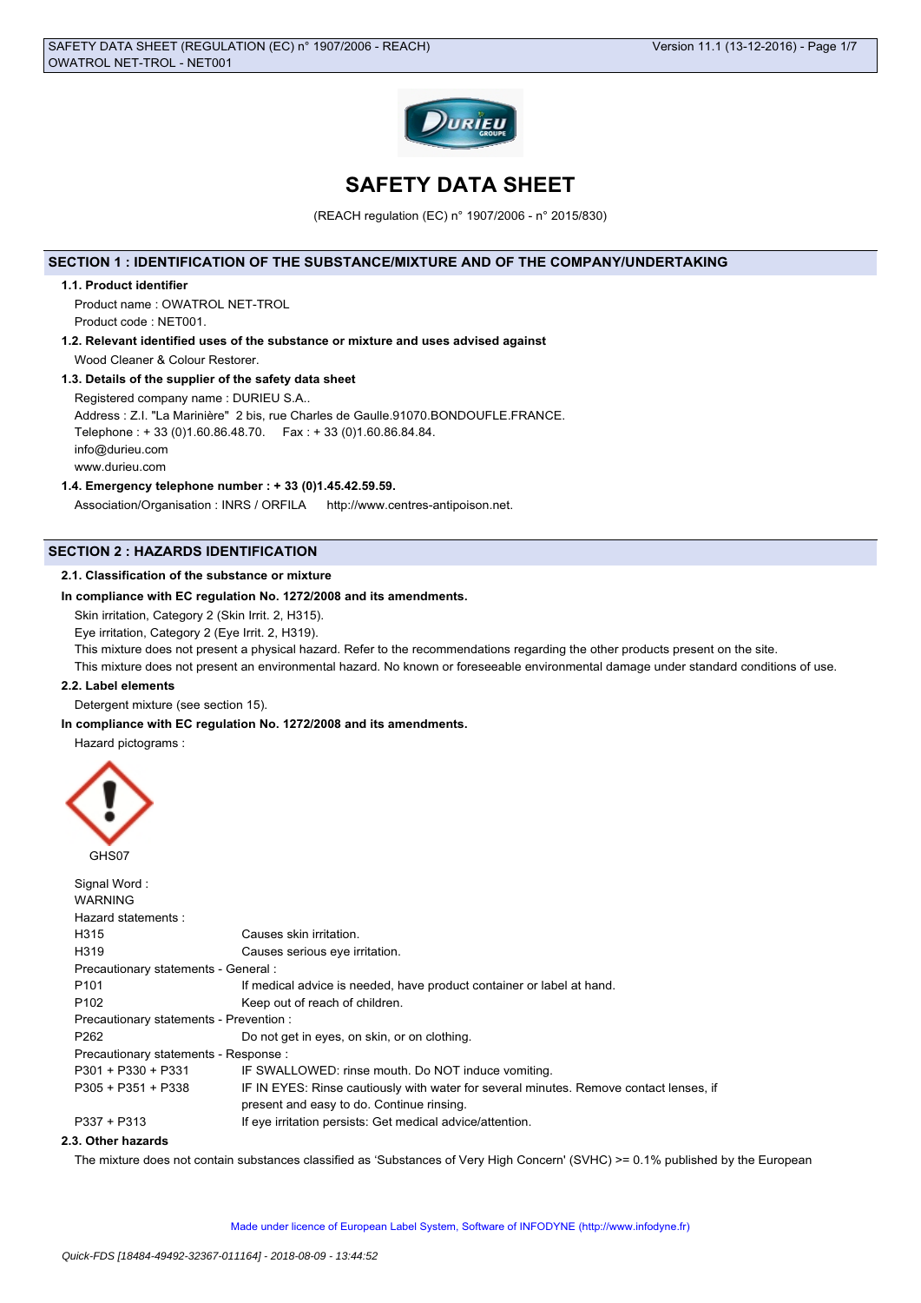

# **SAFETY DATA SHEET**

(REACH regulation (EC) n° 1907/2006 - n° 2015/830)

# **SECTION 1 : IDENTIFICATION OF THE SUBSTANCE/MIXTURE AND OF THE COMPANY/UNDERTAKING**

### **1.1. Product identifier**

Product name : OWATROL NET-TROL Product code : NET001.

**1.2. Relevant identified uses of the substance or mixture and uses advised against** Wood Cleaner & Colour Restorer.

### **1.3. Details of the supplier of the safety data sheet**

Registered company name : DURIEU S.A.. Address : Z.I. "La Marinière" 2 bis, rue Charles de Gaulle.91070.BONDOUFLE.FRANCE.

Telephone : + 33 (0)1.60.86.48.70. Fax : + 33 (0)1.60.86.84.84. info@durieu.com

www.durieu.com

#### **1.4. Emergency telephone number : + 33 (0)1.45.42.59.59.**

Association/Organisation : INRS / ORFILA http://www.centres-antipoison.net.

# **SECTION 2 : HAZARDS IDENTIFICATION**

### **2.1. Classification of the substance or mixture**

# **In compliance with EC regulation No. 1272/2008 and its amendments.**

Skin irritation, Category 2 (Skin Irrit. 2, H315).

Eye irritation, Category 2 (Eye Irrit. 2, H319).

This mixture does not present a physical hazard. Refer to the recommendations regarding the other products present on the site. This mixture does not present an environmental hazard. No known or foreseeable environmental damage under standard conditions of use.

#### **2.2. Label elements**

Detergent mixture (see section 15).

**In compliance with EC regulation No. 1272/2008 and its amendments.**

Hazard pictograms :



| Signal Word:                            |                                                                                        |
|-----------------------------------------|----------------------------------------------------------------------------------------|
| <b>WARNING</b>                          |                                                                                        |
| Hazard statements:                      |                                                                                        |
| H315                                    | Causes skin irritation.                                                                |
| H <sub>3</sub> 19                       | Causes serious eye irritation.                                                         |
| Precautionary statements - General :    |                                                                                        |
| P <sub>101</sub>                        | If medical advice is needed, have product container or label at hand.                  |
| P <sub>102</sub>                        | Keep out of reach of children.                                                         |
| Precautionary statements - Prevention : |                                                                                        |
| P <sub>262</sub>                        | Do not get in eyes, on skin, or on clothing.                                           |
| Precautionary statements - Response :   |                                                                                        |
| $P301 + P330 + P331$                    | IF SWALLOWED: rinse mouth. Do NOT induce vomiting.                                     |
| $P305 + P351 + P338$                    | IF IN EYES: Rinse cautiously with water for several minutes. Remove contact lenses, if |
|                                         | present and easy to do. Continue rinsing.                                              |
| $P337 + P313$                           | If eye irritation persists: Get medical advice/attention.                              |
|                                         |                                                                                        |

#### **2.3. Other hazards**

The mixture does not contain substances classified as 'Substances of Very High Concern' (SVHC) >= 0.1% published by the European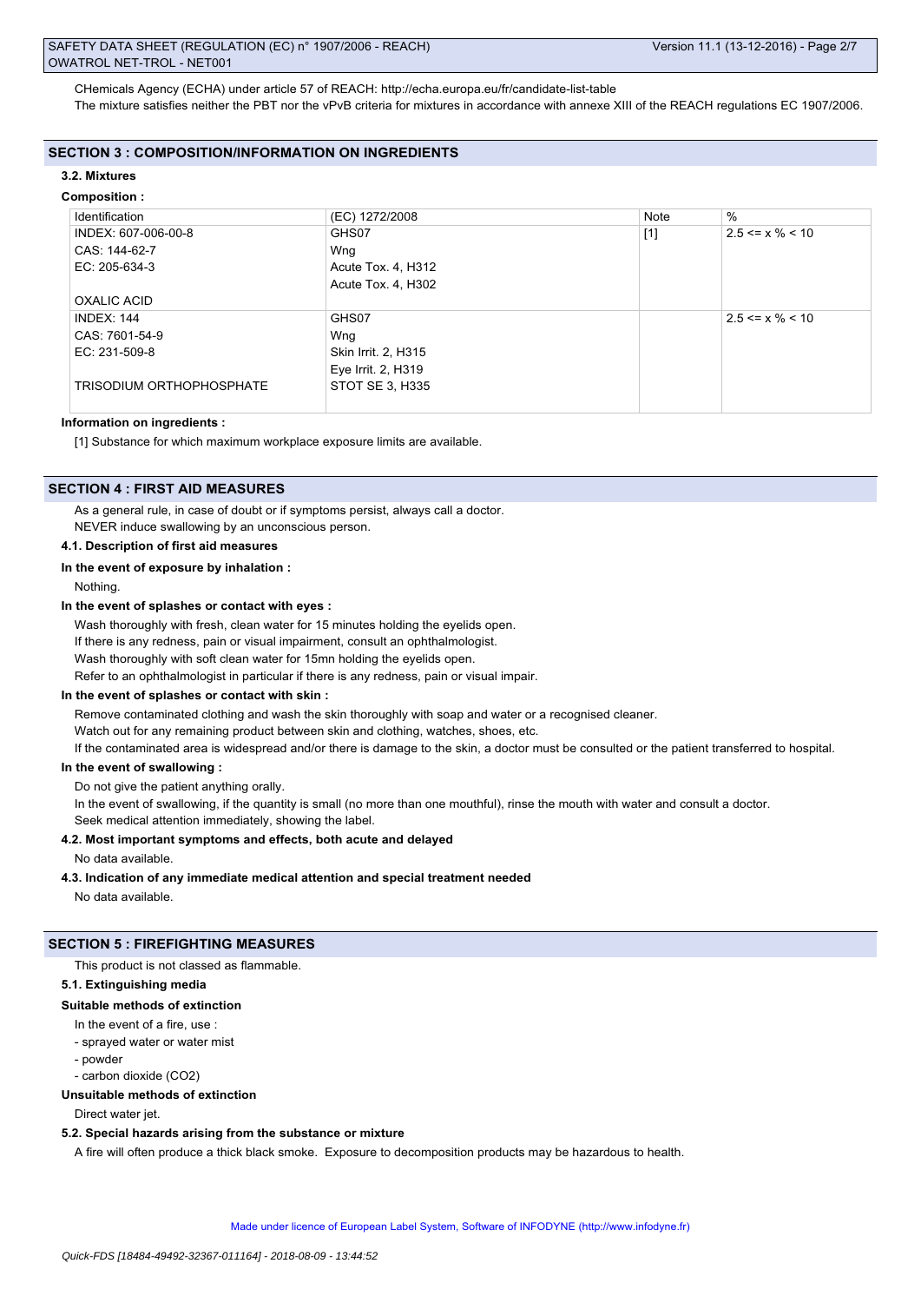CHemicals Agency (ECHA) under article 57 of REACH: http://echa.europa.eu/fr/candidate-list-table The mixture satisfies neither the PBT nor the vPvB criteria for mixtures in accordance with annexe XIII of the REACH regulations EC 1907/2006.

#### **SECTION 3 : COMPOSITION/INFORMATION ON INGREDIENTS**

#### **3.2. Mixtures**

# **Composition :**

| Identification           | (EC) 1272/2008      | <b>Note</b> | $\%$                  |
|--------------------------|---------------------|-------------|-----------------------|
| INDEX: 607-006-00-8      | GHS07               | $[1]$       | $2.5 \le x \% \le 10$ |
| CAS: 144-62-7            | Wng                 |             |                       |
| EC: 205-634-3            | Acute Tox. 4, H312  |             |                       |
|                          | Acute Tox. 4, H302  |             |                       |
| OXALIC ACID              |                     |             |                       |
| INDEX: 144               | GHS07               |             | $2.5 \le x \% \le 10$ |
| CAS: 7601-54-9           | Wng                 |             |                       |
| EC: 231-509-8            | Skin Irrit. 2, H315 |             |                       |
|                          | Eye Irrit. 2, H319  |             |                       |
| TRISODIUM ORTHOPHOSPHATE | STOT SE 3, H335     |             |                       |
|                          |                     |             |                       |

#### **Information on ingredients :**

[1] Substance for which maximum workplace exposure limits are available.

# **SECTION 4 : FIRST AID MEASURES**

As a general rule, in case of doubt or if symptoms persist, always call a doctor. NEVER induce swallowing by an unconscious person.

#### **4.1. Description of first aid measures**

#### **In the event of exposure by inhalation :**

Nothing.

#### **In the event of splashes or contact with eyes :**

Wash thoroughly with fresh, clean water for 15 minutes holding the eyelids open. If there is any redness, pain or visual impairment, consult an ophthalmologist. Wash thoroughly with soft clean water for 15mn holding the eyelids open. Refer to an ophthalmologist in particular if there is any redness, pain or visual impair.

#### **In the event of splashes or contact with skin :**

Remove contaminated clothing and wash the skin thoroughly with soap and water or a recognised cleaner.

Watch out for any remaining product between skin and clothing, watches, shoes, etc.

If the contaminated area is widespread and/or there is damage to the skin, a doctor must be consulted or the patient transferred to hospital.

### **In the event of swallowing :**

Do not give the patient anything orally.

In the event of swallowing, if the quantity is small (no more than one mouthful), rinse the mouth with water and consult a doctor.

Seek medical attention immediately, showing the label.

### **4.2. Most important symptoms and effects, both acute and delayed**

No data available.

#### **4.3. Indication of any immediate medical attention and special treatment needed**

No data available.

#### **SECTION 5 : FIREFIGHTING MEASURES**

This product is not classed as flammable.

#### **5.1. Extinguishing media**

#### **Suitable methods of extinction**

- In the event of a fire, use :
- sprayed water or water mist
- powder
- carbon dioxide (CO2)

# **Unsuitable methods of extinction**

Direct water jet.

### **5.2. Special hazards arising from the substance or mixture**

A fire will often produce a thick black smoke. Exposure to decomposition products may be hazardous to health.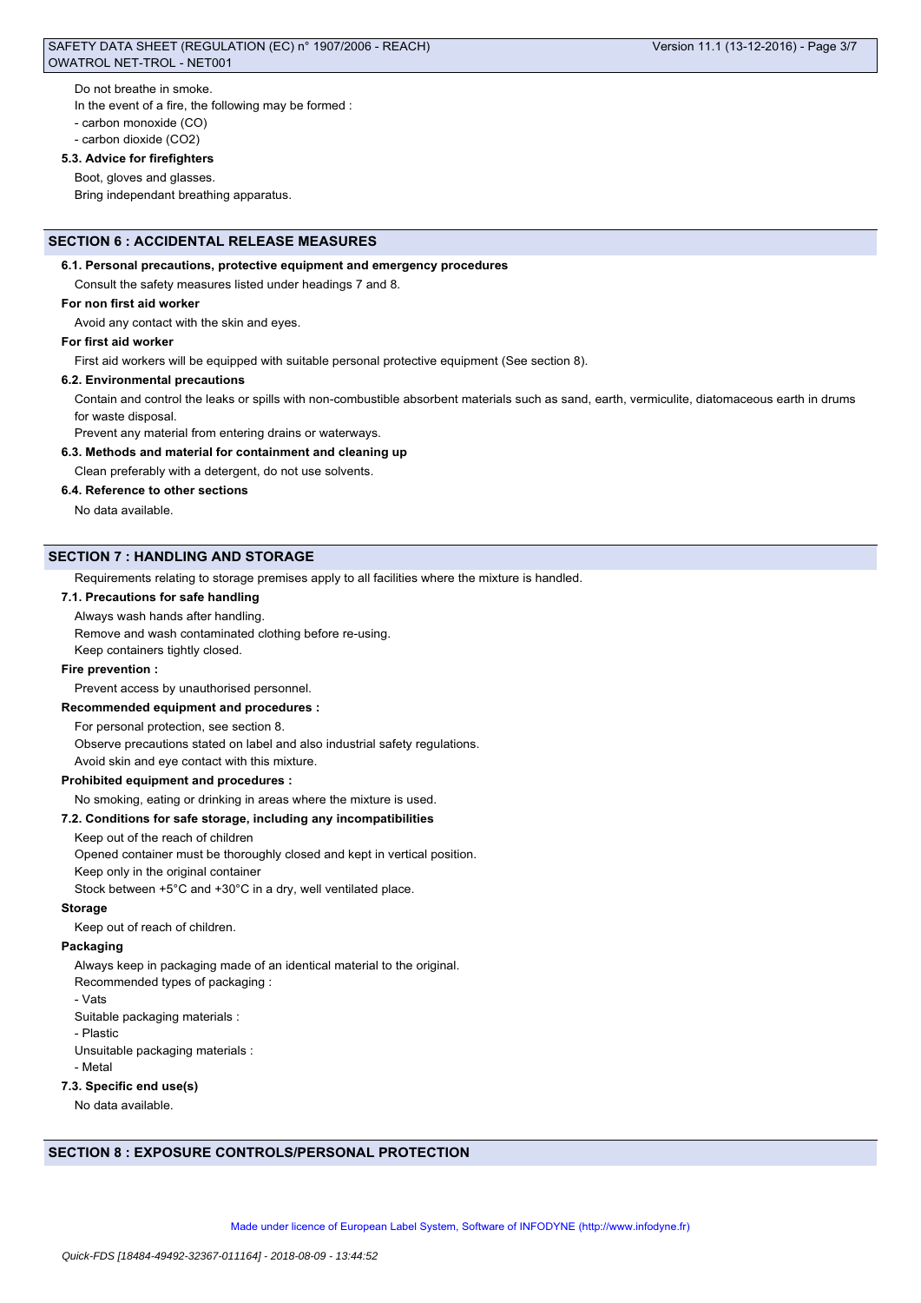# SAFETY DATA SHEET (REGULATION (EC) n° 1907/2006 - REACH) Version 11.1 (13-12-2016) - Page 3/7 OWATROL NET-TROL - NET001

Do not breathe in smoke.

- In the event of a fire, the following may be formed :
- carbon monoxide (CO)
- carbon dioxide (CO2)

# **5.3. Advice for firefighters**

Boot, gloves and glasses.

Bring independant breathing apparatus.

### **SECTION 6 : ACCIDENTAL RELEASE MEASURES**

#### **6.1. Personal precautions, protective equipment and emergency procedures**

Consult the safety measures listed under headings 7 and 8.

#### **For non first aid worker**

Avoid any contact with the skin and eyes.

#### **For first aid worker**

First aid workers will be equipped with suitable personal protective equipment (See section 8).

#### **6.2. Environmental precautions**

Contain and control the leaks or spills with non-combustible absorbent materials such as sand, earth, vermiculite, diatomaceous earth in drums for waste disposal.

Prevent any material from entering drains or waterways.

#### **6.3. Methods and material for containment and cleaning up**

Clean preferably with a detergent, do not use solvents.

#### **6.4. Reference to other sections**

No data available.

# **SECTION 7 : HANDLING AND STORAGE**

Requirements relating to storage premises apply to all facilities where the mixture is handled.

#### **7.1. Precautions for safe handling**

#### Always wash hands after handling.

Remove and wash contaminated clothing before re-using.

Keep containers tightly closed.

# **Fire prevention :**

Prevent access by unauthorised personnel.

### **Recommended equipment and procedures :**

For personal protection, see section 8.

Observe precautions stated on label and also industrial safety regulations.

Avoid skin and eye contact with this mixture.

### **Prohibited equipment and procedures :**

No smoking, eating or drinking in areas where the mixture is used.

### **7.2. Conditions for safe storage, including any incompatibilities**

Keep out of the reach of children

Opened container must be thoroughly closed and kept in vertical position.

Keep only in the original container

Stock between +5°C and +30°C in a dry, well ventilated place.

# **Storage**

Keep out of reach of children.

### **Packaging**

Always keep in packaging made of an identical material to the original.

Recommended types of packaging :

- Vats

Suitable packaging materials :

- Plastic

Unsuitable packaging materials :

- Metal

# **7.3. Specific end use(s)**

No data available.

# **SECTION 8 : EXPOSURE CONTROLS/PERSONAL PROTECTION**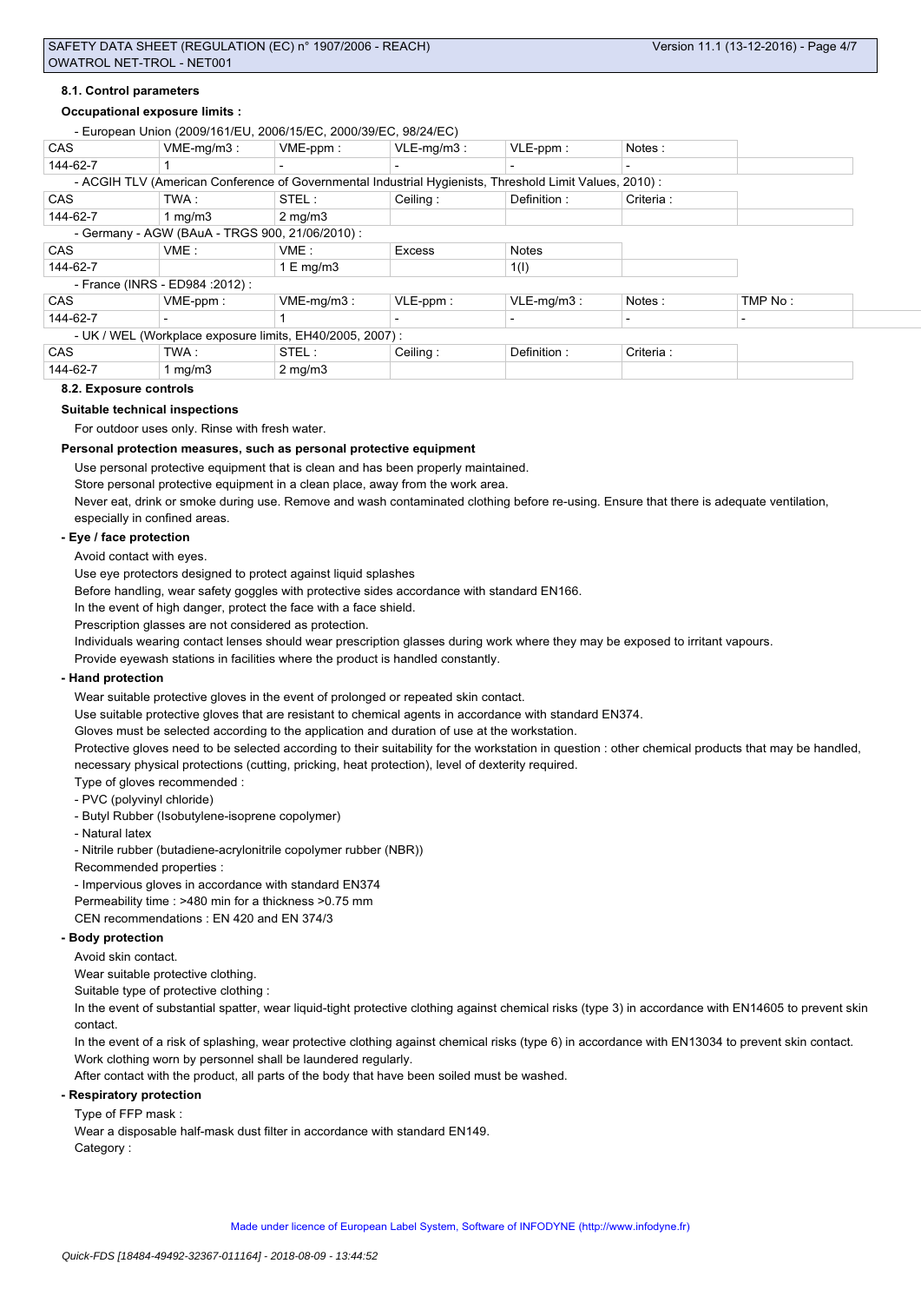### **8.1. Control parameters**

#### **Occupational exposure limits :**

|            | - European Union (2009/161/EU, 2006/15/EC, 2000/39/EC, 98/24/EC)                                       |                         |                          |               |           |                          |
|------------|--------------------------------------------------------------------------------------------------------|-------------------------|--------------------------|---------------|-----------|--------------------------|
| CAS        | $VME-mq/m3$ :                                                                                          | $VME-ppm$ :             | $VLE-mq/m3$ :            | $VLE$ -ppm:   | Notes:    |                          |
| 144-62-7   |                                                                                                        |                         |                          |               |           |                          |
|            | - ACGIH TLV (American Conference of Governmental Industrial Hygienists, Threshold Limit Values, 2010): |                         |                          |               |           |                          |
| <b>CAS</b> | TWA:                                                                                                   | STEL:                   | Ceiling:                 | Definition:   | Criteria: |                          |
| 144-62-7   | 1 $mq/m3$                                                                                              | $2 \text{ mg/m}$        |                          |               |           |                          |
|            | - Germany - AGW (BAuA - TRGS 900, 21/06/2010) :                                                        |                         |                          |               |           |                          |
| <b>CAS</b> | VME:                                                                                                   | VME:                    | <b>Excess</b>            | <b>Notes</b>  |           |                          |
| 144-62-7   |                                                                                                        | $1 \mathrm{E}$ mg/m $3$ |                          | 1(1)          |           |                          |
|            | - France (INRS - ED984 : 2012) :                                                                       |                         |                          |               |           |                          |
| <b>CAS</b> | VME-ppm:                                                                                               | $VME-mq/m3$ :           | $VLE-ppm$ :              | $VLE-mq/m3$ : | Notes:    | TMP No:                  |
| 144-62-7   | $\overline{\phantom{0}}$                                                                               |                         | $\overline{\phantom{0}}$ |               |           | $\overline{\phantom{a}}$ |
|            | - UK / WEL (Workplace exposure limits, EH40/2005, 2007) :                                              |                         |                          |               |           |                          |
| <b>CAS</b> | TWA:                                                                                                   | STEL:                   | Ceiling:                 | Definition:   | Criteria: |                          |
| 144-62-7   | 1 $mq/m3$                                                                                              | $2 \text{ mg/m}$        |                          |               |           |                          |

#### **8.2. Exposure controls**

#### **Suitable technical inspections**

For outdoor uses only. Rinse with fresh water.

#### **Personal protection measures, such as personal protective equipment**

Use personal protective equipment that is clean and has been properly maintained.

Store personal protective equipment in a clean place, away from the work area.

Never eat, drink or smoke during use. Remove and wash contaminated clothing before re-using. Ensure that there is adequate ventilation, especially in confined areas.

#### **- Eye / face protection**

Avoid contact with eyes.

Use eye protectors designed to protect against liquid splashes

Before handling, wear safety goggles with protective sides accordance with standard EN166.

In the event of high danger, protect the face with a face shield.

Prescription glasses are not considered as protection.

Individuals wearing contact lenses should wear prescription glasses during work where they may be exposed to irritant vapours.

Provide eyewash stations in facilities where the product is handled constantly.

#### **- Hand protection**

Wear suitable protective gloves in the event of prolonged or repeated skin contact.

Use suitable protective gloves that are resistant to chemical agents in accordance with standard EN374.

Gloves must be selected according to the application and duration of use at the workstation.

Protective gloves need to be selected according to their suitability for the workstation in question : other chemical products that may be handled, necessary physical protections (cutting, pricking, heat protection), level of dexterity required.

Type of gloves recommended :

- PVC (polyvinyl chloride)
- Butyl Rubber (Isobutylene-isoprene copolymer)
- Natural latex

- Nitrile rubber (butadiene-acrylonitrile copolymer rubber (NBR))

- Recommended properties :
- Impervious gloves in accordance with standard EN374

Permeability time : >480 min for a thickness >0.75 mm

CEN recommendations : EN 420 and EN 374/3

## **- Body protection**

Avoid skin contact.

Wear suitable protective clothing.

Suitable type of protective clothing :

In the event of substantial spatter, wear liquid-tight protective clothing against chemical risks (type 3) in accordance with EN14605 to prevent skin contact.

In the event of a risk of splashing, wear protective clothing against chemical risks (type 6) in accordance with EN13034 to prevent skin contact. Work clothing worn by personnel shall be laundered regularly.

After contact with the product, all parts of the body that have been soiled must be washed.

**- Respiratory protection**

Type of FFP mask :

Wear a disposable half-mask dust filter in accordance with standard EN149. Category :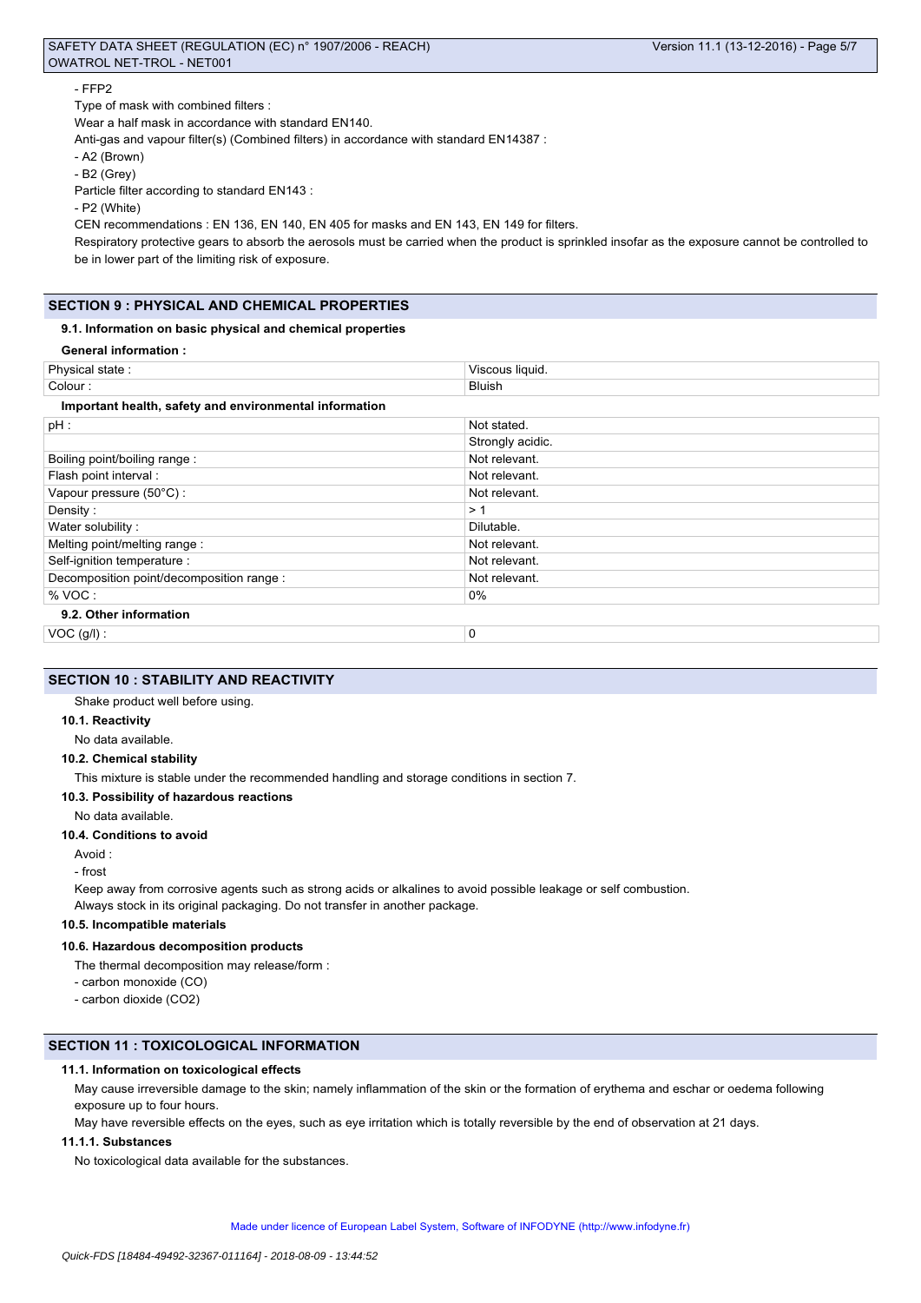# SAFETY DATA SHEET (REGULATION (EC) n° 1907/2006 - REACH) Version 11.1 (13-12-2016) - Page 5/7 OWATROL NET-TROL - NET001

### - FFP2

Type of mask with combined filters :

Wear a half mask in accordance with standard EN140.

Anti-gas and vapour filter(s) (Combined filters) in accordance with standard EN14387 :

- A2 (Brown)

- B2 (Grey)

Particle filter according to standard EN143 :

- P2 (White)

CEN recommendations : EN 136, EN 140, EN 405 for masks and EN 143, EN 149 for filters.

Respiratory protective gears to absorb the aerosols must be carried when the product is sprinkled insofar as the exposure cannot be controlled to be in lower part of the limiting risk of exposure.

# **SECTION 9 : PHYSICAL AND CHEMICAL PROPERTIES**

### **9.1. Information on basic physical and chemical properties**

|  | <b>General information:</b> |
|--|-----------------------------|
|--|-----------------------------|

| Physical state:                                        | Viscous liquid.  |
|--------------------------------------------------------|------------------|
| Colour:                                                | <b>Bluish</b>    |
| Important health, safety and environmental information |                  |
| $pH$ :                                                 | Not stated.      |
|                                                        | Strongly acidic. |
| Boiling point/boiling range:                           | Not relevant.    |
| Flash point interval :                                 | Not relevant.    |
| Vapour pressure (50°C):                                | Not relevant.    |
| Density:                                               | >1               |
| Water solubility:                                      | Dilutable.       |
| Melting point/melting range:                           | Not relevant.    |
| Self-ignition temperature :                            | Not relevant.    |
| Decomposition point/decomposition range :              | Not relevant.    |
| % VOC:                                                 | 0%               |
| 9.2. Other information                                 |                  |
| $VOC$ (g/l) :                                          | 0                |

# **SECTION 10 : STABILITY AND REACTIVITY**

# Shake product well before using.

# **10.1. Reactivity**

No data available.

#### **10.2. Chemical stability**

This mixture is stable under the recommended handling and storage conditions in section 7.

# **10.3. Possibility of hazardous reactions**

No data available.

### **10.4. Conditions to avoid**

Avoid :

#### - frost

Keep away from corrosive agents such as strong acids or alkalines to avoid possible leakage or self combustion. Always stock in its original packaging. Do not transfer in another package.

# **10.5. Incompatible materials**

#### **10.6. Hazardous decomposition products**

The thermal decomposition may release/form :

- carbon monoxide (CO)
- carbon dioxide (CO2)

### **SECTION 11 : TOXICOLOGICAL INFORMATION**

### **11.1. Information on toxicological effects**

May cause irreversible damage to the skin; namely inflammation of the skin or the formation of erythema and eschar or oedema following exposure up to four hours.

May have reversible effects on the eyes, such as eye irritation which is totally reversible by the end of observation at 21 days.

### **11.1.1. Substances**

No toxicological data available for the substances.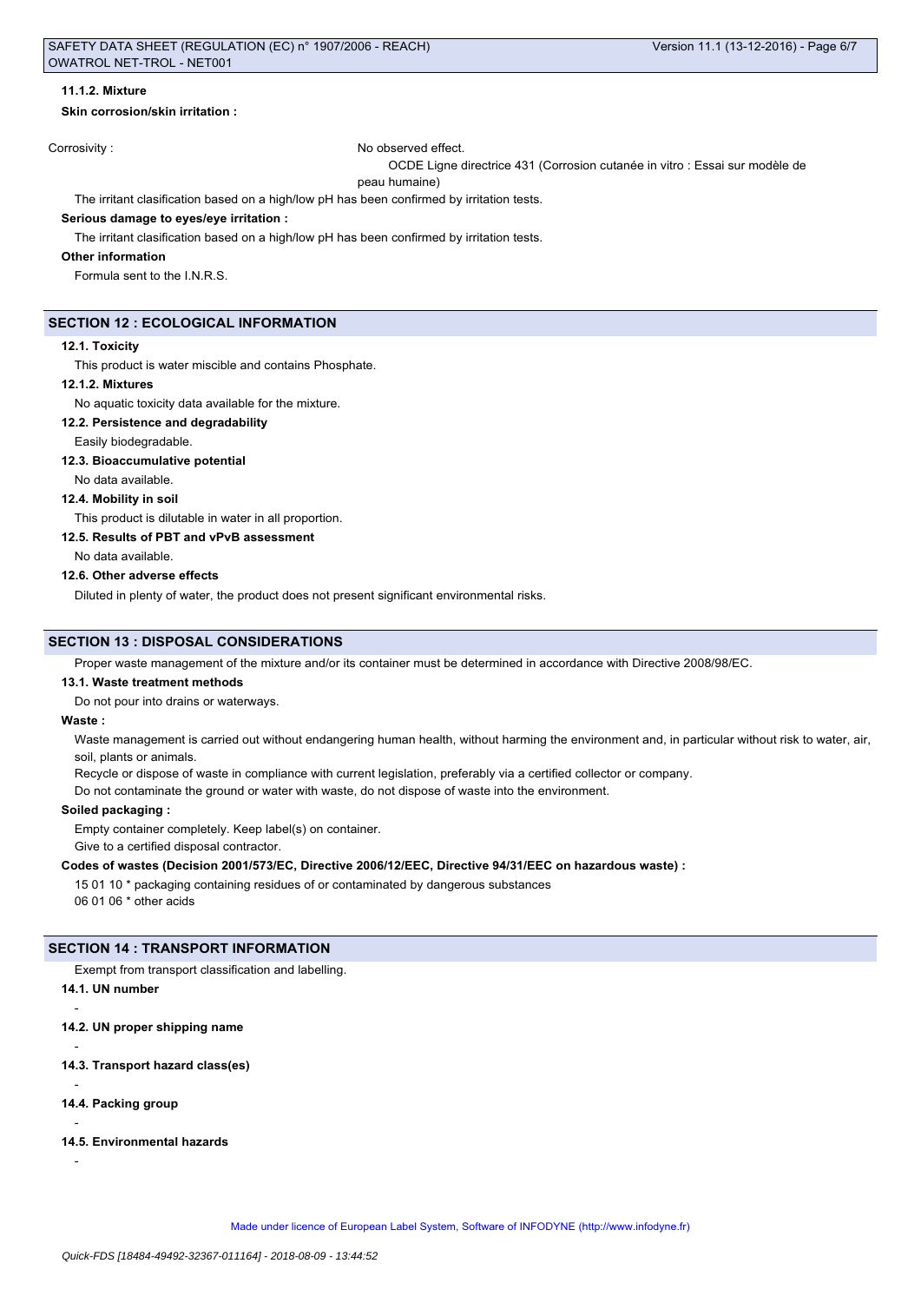### **11.1.2. Mixture**

#### **Skin corrosion/skin irritation :**

**Corrosivity :** No observed effect.

OCDE Ligne directrice 431 (Corrosion cutanée in vitro : Essai sur modèle de

peau humaine)

The irritant clasification based on a high/low pH has been confirmed by irritation tests.

### **Serious damage to eyes/eye irritation :**

The irritant clasification based on a high/low pH has been confirmed by irritation tests.

## **Other information**

Formula sent to the I.N.R.S.

# **SECTION 12 : ECOLOGICAL INFORMATION**

### **12.1. Toxicity**

This product is water miscible and contains Phosphate.

#### **12.1.2. Mixtures**

No aquatic toxicity data available for the mixture.

#### **12.2. Persistence and degradability**

### Easily biodegradable.

**12.3. Bioaccumulative potential**

No data available.

# **12.4. Mobility in soil**

This product is dilutable in water in all proportion.

**12.5. Results of PBT and vPvB assessment**

No data available.

#### **12.6. Other adverse effects**

Diluted in plenty of water, the product does not present significant environmental risks.

#### **SECTION 13 : DISPOSAL CONSIDERATIONS**

Proper waste management of the mixture and/or its container must be determined in accordance with Directive 2008/98/EC.

#### **13.1. Waste treatment methods**

Do not pour into drains or waterways.

#### **Waste :**

Waste management is carried out without endangering human health, without harming the environment and, in particular without risk to water, air, soil, plants or animals.

Recycle or dispose of waste in compliance with current legislation, preferably via a certified collector or company.

Do not contaminate the ground or water with waste, do not dispose of waste into the environment.

#### **Soiled packaging :**

Empty container completely. Keep label(s) on container.

Give to a certified disposal contractor.

# **Codes of wastes (Decision 2001/573/EC, Directive 2006/12/EEC, Directive 94/31/EEC on hazardous waste) :**

15 01 10 \* packaging containing residues of or contaminated by dangerous substances

06 01 06 \* other acids

#### **SECTION 14 : TRANSPORT INFORMATION**

Exempt from transport classification and labelling.

# **14.1. UN number**

**14.2. UN proper shipping name**

- **14.3. Transport hazard class(es)**
- **14.4. Packing group**

# **14.5. Environmental hazards**

-

-

-

-

-